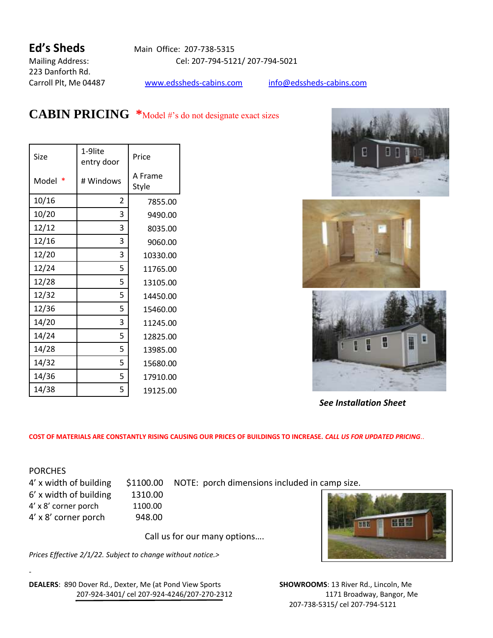223 Danforth Rd.

**Ed's Sheds** Main Office: 207-738-5315 Mailing Address: Cel: 207-794-5121/ 207-794-5021

Carroll Plt, Me 04487 [www.edssheds-cabins.com](http://www.edssheds-cabins.com/) [info@edssheds-cabins.com](mailto:info@edssheds-cabins.com)

## **CABIN PRICING \***Model #'s do not designate exact sizes

| Size  | 1-9lite<br>entry door | Price            |  |
|-------|-----------------------|------------------|--|
| Model | # Windows             | A Frame<br>Style |  |
| 10/16 | 2                     | 7855.00          |  |
| 10/20 | 3                     | 9490.00          |  |
| 12/12 | 3                     | 8035.00          |  |
| 12/16 | 3                     | 9060.00          |  |
| 12/20 | 3                     | 10330.00         |  |
| 12/24 | 5                     | 11765.00         |  |
| 12/28 | 5                     | 13105.00         |  |
| 12/32 | 5                     | 14450.00         |  |
| 12/36 | 5                     | 15460.00         |  |
| 14/20 | 3                     | 11245.00         |  |
| 14/24 | 5                     | 12825.00         |  |
| 14/28 | 5                     | 13985.00         |  |
| 14/32 | 5                     | 15680.00         |  |
| 14/36 | 5                     | 17910.00         |  |
| 14/38 | 5                     | 19125.00         |  |







 *See Installation Sheet*

**COST OF MATERIALS ARE CONSTANTLY RISING CAUSING OUR PRICES OF BUILDINGS TO INCREASE.** *CALL US FOR UPDATED PRICING*..

**PORCHES** 

-

6' x width of building 1310.00 4' x 8' corner porch 1100.00 4' x 8' corner porch 948.00

4' x width of building \$1100.00 NOTE: porch dimensions included in camp size.

Call us for our many options….

*Prices Effective 2/1/22. Subject to change without notice.>* 



**DEALERS**: 890 Dover Rd., Dexter, Me (at Pond View Sports **SHOWROOMS**: 13 River Rd., Lincoln, Me 207-924-3401/ cel 207-924-4246/207-270-2312 1171 Broadway, Bangor, Me

207-738-5315/ cel 207-794-5121